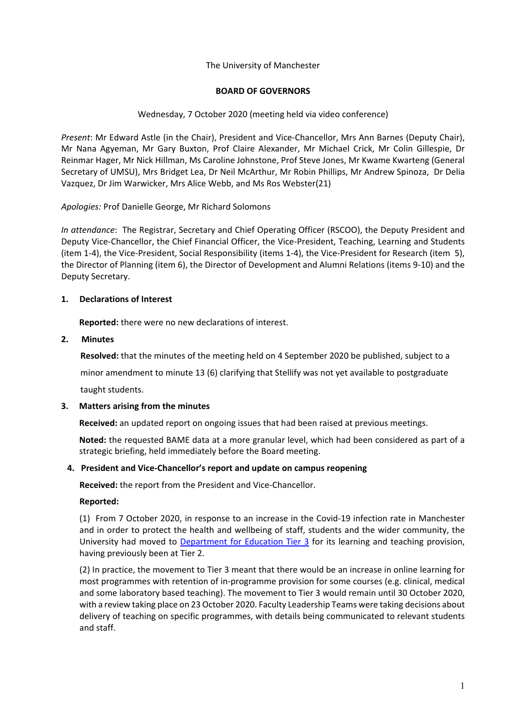## The University of Manchester

#### **BOARD OF GOVERNORS**

## Wednesday, 7 October 2020 (meeting held via video conference)

*Present*: Mr Edward Astle (in the Chair), President and Vice-Chancellor, Mrs Ann Barnes (Deputy Chair), Mr Nana Agyeman, Mr Gary Buxton, Prof Claire Alexander, Mr Michael Crick, Mr Colin Gillespie, Dr Reinmar Hager, Mr Nick Hillman, Ms Caroline Johnstone, Prof Steve Jones, Mr Kwame Kwarteng (General Secretary of UMSU), Mrs Bridget Lea, Dr Neil McArthur, Mr Robin Phillips, Mr Andrew Spinoza, Dr Delia Vazquez, Dr Jim Warwicker, Mrs Alice Webb, and Ms Ros Webster(21)

*Apologies:* Prof Danielle George, Mr Richard Solomons

*In attendance*: The Registrar, Secretary and Chief Operating Officer (RSCOO), the Deputy President and Deputy Vice-Chancellor, the Chief Financial Officer, the Vice-President, Teaching, Learning and Students (item 1-4), the Vice-President, Social Responsibility (items 1-4), the Vice-President for Research (item 5), the Director of Planning (item 6), the Director of Development and Alumni Relations (items 9-10) and the Deputy Secretary.

## **1. Declarations of Interest**

**Reported:** there were no new declarations of interest.

## **2. Minutes**

**Resolved:** that the minutes of the meeting held on 4 September 2020 be published, subject to a

minor amendment to minute 13 (6) clarifying that Stellify was not yet available to postgraduate

taught students.

#### **3. Matters arising from the minutes**

**Received:** an updated report on ongoing issues that had been raised at previous meetings.

**Noted:** the requested BAME data at a more granular level, which had been considered as part of a strategic briefing, held immediately before the Board meeting.

#### **4. President and Vice-Chancellor's report and update on campus reopening**

 **Received:** the report from the President and Vice-Chancellor.

## **Reported:**

(1) From 7 October 2020, in response to an increase in the Covid-19 infection rate in Manchester and in order to protect the health and wellbeing of staff, students and the wider community, the University had moved to Department for Education Tier 3 for its learning and teaching provision, having previously been at Tier 2.

(2) In practice, the movement to Tier 3 meant that there would be an increase in online learning for most programmes with retention of in-programme provision for some courses (e.g. clinical, medical and some laboratory based teaching). The movement to Tier 3 would remain until 30 October 2020, with a review taking place on 23 October 2020. Faculty Leadership Teams were taking decisions about delivery of teaching on specific programmes, with details being communicated to relevant students and staff.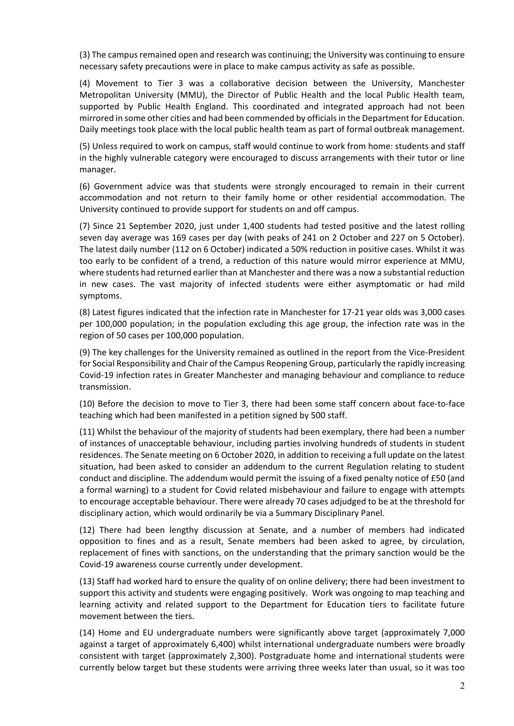(3) The campus remained open and research was continuing; the University was continuing to ensure necessary safety precautions were in place to make campus activity as safe as possible.

(4) Movement to Tier 3 was a collaborative decision between the University, Manchester Metropolitan University (MMU), the Director of Public Health and the local Public Health team, supported by Public Health England. This coordinated and integrated approach had not been mirrored in some other cities and had been commended by officials in the Department for Education. Daily meetings took place with the local public health team as part of formal outbreak management.

(5) Unless required to work on campus, staff would continue to work from home: students and staff in the highly vulnerable category were encouraged to discuss arrangements with their tutor or line manager.

(6) Government advice was that students were strongly encouraged to remain in their current accommodation and not return to their family home or other residential accommodation. The University continued to provide support for students on and off campus.

(7) Since 21 September 2020, just under 1,400 students had tested positive and the latest rolling seven day average was 169 cases per day (with peaks of 241 on 2 October and 227 on 5 October). The latest daily number (112 on 6 October) indicated a 50% reduction in positive cases. Whilst it was too early to be confident of a trend, a reduction of this nature would mirror experience at MMU, where students had returned earlier than at Manchester and there was a now a substantial reduction in new cases. The vast majority of infected students were either asymptomatic or had mild symptoms.

(8) Latest figures indicated that the infection rate in Manchester for 17-21 year olds was 3,000 cases per 100,000 population; in the population excluding this age group, the infection rate was in the region of 50 cases per 100,000 population.

(9) The key challenges for the University remained as outlined in the report from the Vice-President for Social Responsibility and Chair of the Campus Reopening Group, particularly the rapidly increasing Covid-19 infection rates in Greater Manchester and managing behaviour and compliance to reduce transmission.

(10) Before the decision to move to Tier 3, there had been some staff concern about face-to-face teaching which had been manifested in a petition signed by 500 staff.

(11) Whilst the behaviour of the majority of students had been exemplary, there had been a number of instances of unacceptable behaviour, including parties involving hundreds of students in student residences. The Senate meeting on 6 October 2020, in addition to receiving a full update on the latest situation, had been asked to consider an addendum to the current Regulation relating to student conduct and discipline. The addendum would permit the issuing of a fixed penalty notice of £50 (and a formal warning) to a student for Covid related misbehaviour and failure to engage with attempts to encourage acceptable behaviour. There were already 70 cases adjudged to be at the threshold for disciplinary action, which would ordinarily be via a Summary Disciplinary Panel.

(12) There had been lengthy discussion at Senate, and a number of members had indicated opposition to fines and as a result, Senate members had been asked to agree, by circulation, replacement of fines with sanctions, on the understanding that the primary sanction would be the Covid-19 awareness course currently under development.

(13) Staff had worked hard to ensure the quality of on online delivery; there had been investment to support this activity and students were engaging positively. Work was ongoing to map teaching and learning activity and related support to the Department for Education tiers to facilitate future movement between the tiers.

(14) Home and EU undergraduate numbers were significantly above target (approximately 7,000 against a target of approximately 6,400) whilst international undergraduate numbers were broadly consistent with target (approximately 2,300). Postgraduate home and international students were currently below target but these students were arriving three weeks later than usual, so it was too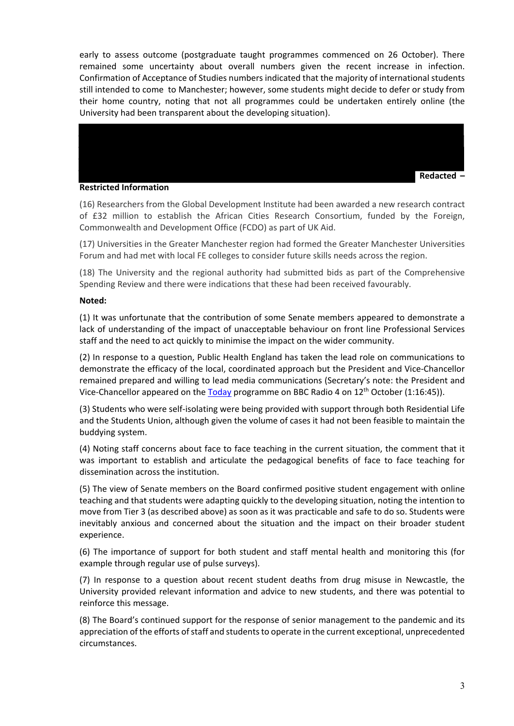early to assess outcome (postgraduate taught programmes commenced on 26 October). There remained some uncertainty about overall numbers given the recent increase in infection. Confirmation of Acceptance of Studies numbers indicated that the majority of international students still intended to come to Manchester; however, some students might decide to defer or study from their home country, noting that not all programmes could be undertaken entirely online (the University had been transparent about the developing situation).



#### **Restricted Information**

(16) Researchers from the Global Development Institute had been awarded a new research contract of £32 million to establish the African Cities Research Consortium, funded by the Foreign, Commonwealth and Development Office (FCDO) as part of UK Aid.

(17) Universities in the Greater Manchester region had formed the Greater Manchester Universities Forum and had met with local FE colleges to consider future skills needs across the region.

(18) The University and the regional authority had submitted bids as part of the Comprehensive Spending Review and there were indications that these had been received favourably.

#### **Noted:**

(1) It was unfortunate that the contribution of some Senate members appeared to demonstrate a lack of understanding of the impact of unacceptable behaviour on front line Professional Services staff and the need to act quickly to minimise the impact on the wider community.

(2) In response to a question, Public Health England has taken the lead role on communications to demonstrate the efficacy of the local, coordinated approach but the President and Vice-Chancellor remained prepared and willing to lead media communications (Secretary's note: the President and Vice-Chancellor appeared on the Today programme on BBC Radio 4 on  $12<sup>th</sup>$  October (1:16:45)).

(3) Students who were self-isolating were being provided with support through both Residential Life and the Students Union, although given the volume of cases it had not been feasible to maintain the buddying system.

(4) Noting staff concerns about face to face teaching in the current situation, the comment that it was important to establish and articulate the pedagogical benefits of face to face teaching for dissemination across the institution.

(5) The view of Senate members on the Board confirmed positive student engagement with online teaching and that students were adapting quickly to the developing situation, noting the intention to move from Tier 3 (as described above) as soon as it was practicable and safe to do so. Students were inevitably anxious and concerned about the situation and the impact on their broader student experience.

(6) The importance of support for both student and staff mental health and monitoring this (for example through regular use of pulse surveys).

(7) In response to a question about recent student deaths from drug misuse in Newcastle, the University provided relevant information and advice to new students, and there was potential to reinforce this message.

(8) The Board's continued support for the response of senior management to the pandemic and its appreciation of the efforts of staff and students to operate in the current exceptional, unprecedented circumstances.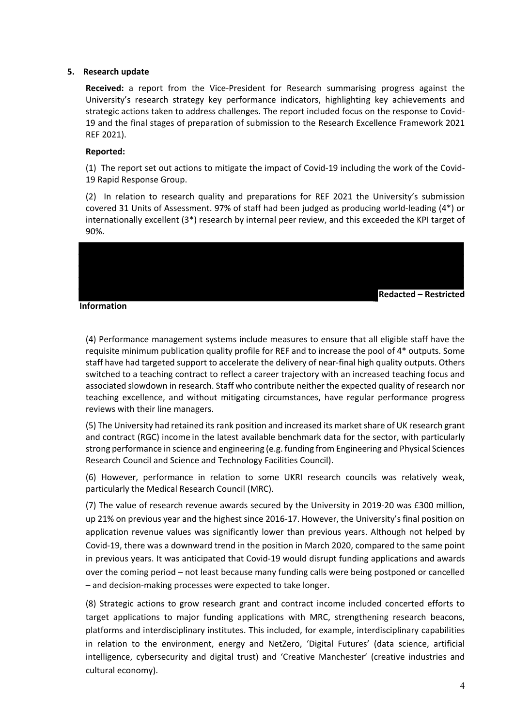#### **5. Research update**

**Received:** a report from the Vice-President for Research summarising progress against the University's research strategy key performance indicators, highlighting key achievements and strategic actions taken to address challenges. The report included focus on the response to Covid-19 and the final stages of preparation of submission to the Research Excellence Framework 2021 REF 2021).

#### **Reported:**

(1) The report set out actions to mitigate the impact of Covid-19 including the work of the Covid-19 Rapid Response Group.

(2) In relation to research quality and preparations for REF 2021 the University's submission covered 31 Units of Assessment. 97% of staff had been judged as producing world-leading (4\*) or internationally excellent (3\*) research by internal peer review, and this exceeded the KPI target of 90%.



**Information**

(4) Performance management systems include measures to ensure that all eligible staff have the requisite minimum publication quality profile for REF and to increase the pool of 4\* outputs. Some staff have had targeted support to accelerate the delivery of near-final high quality outputs. Others switched to a teaching contract to reflect a career trajectory with an increased teaching focus and associated slowdown in research. Staff who contribute neither the expected quality of research nor teaching excellence, and without mitigating circumstances, have regular performance progress reviews with their line managers.

(5) The University had retained its rank position and increased its market share of UK research grant and contract (RGC) income in the latest available benchmark data for the sector, with particularly strong performance in science and engineering (e.g. funding from Engineering and Physical Sciences Research Council and Science and Technology Facilities Council).

(6) However, performance in relation to some UKRI research councils was relatively weak, particularly the Medical Research Council (MRC).

(7) The value of research revenue awards secured by the University in 2019-20 was £300 million, up 21% on previous year and the highest since 2016-17. However, the University's final position on application revenue values was significantly lower than previous years. Although not helped by Covid-19, there was a downward trend in the position in March 2020, compared to the same point in previous years. It was anticipated that Covid-19 would disrupt funding applications and awards over the coming period – not least because many funding calls were being postponed or cancelled – and decision-making processes were expected to take longer.

(8) Strategic actions to grow research grant and contract income included concerted efforts to target applications to major funding applications with MRC, strengthening research beacons, platforms and interdisciplinary institutes. This included, for example, interdisciplinary capabilities in relation to the environment, energy and NetZero, 'Digital Futures' (data science, artificial intelligence, cybersecurity and digital trust) and 'Creative Manchester' (creative industries and cultural economy).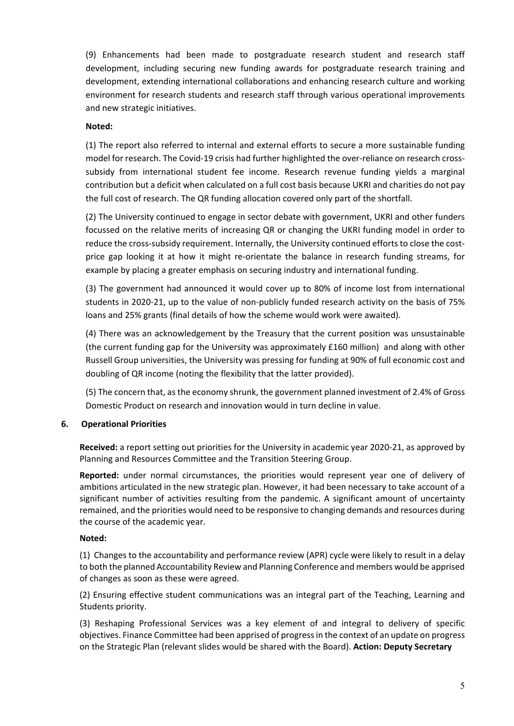(9) Enhancements had been made to postgraduate research student and research staff development, including securing new funding awards for postgraduate research training and development, extending international collaborations and enhancing research culture and working environment for research students and research staff through various operational improvements and new strategic initiatives.

## **Noted:**

(1) The report also referred to internal and external efforts to secure a more sustainable funding model for research. The Covid-19 crisis had further highlighted the over-reliance on research crosssubsidy from international student fee income. Research revenue funding yields a marginal contribution but a deficit when calculated on a full cost basis because UKRI and charities do not pay the full cost of research. The QR funding allocation covered only part of the shortfall.

(2) The University continued to engage in sector debate with government, UKRI and other funders focussed on the relative merits of increasing QR or changing the UKRI funding model in order to reduce the cross-subsidy requirement. Internally, the University continued efforts to close the costprice gap looking it at how it might re-orientate the balance in research funding streams, for example by placing a greater emphasis on securing industry and international funding.

(3) The government had announced it would cover up to 80% of income lost from international students in 2020-21, up to the value of non-publicly funded research activity on the basis of 75% loans and 25% grants (final details of how the scheme would work were awaited).

(4) There was an acknowledgement by the Treasury that the current position was unsustainable (the current funding gap for the University was approximately £160 million) and along with other Russell Group universities, the University was pressing for funding at 90% of full economic cost and doubling of QR income (noting the flexibility that the latter provided).

(5) The concern that, as the economy shrunk, the government planned investment of 2.4% of Gross Domestic Product on research and innovation would in turn decline in value.

## **6. Operational Priorities**

**Received:** a report setting out priorities for the University in academic year 2020-21, as approved by Planning and Resources Committee and the Transition Steering Group.

**Reported:** under normal circumstances, the priorities would represent year one of delivery of ambitions articulated in the new strategic plan. However, it had been necessary to take account of a significant number of activities resulting from the pandemic. A significant amount of uncertainty remained, and the priorities would need to be responsive to changing demands and resources during the course of the academic year.

#### **Noted:**

(1) Changes to the accountability and performance review (APR) cycle were likely to result in a delay to both the planned Accountability Review and Planning Conference and members would be apprised of changes as soon as these were agreed.

(2) Ensuring effective student communications was an integral part of the Teaching, Learning and Students priority.

(3) Reshaping Professional Services was a key element of and integral to delivery of specific objectives. Finance Committee had been apprised of progress in the context of an update on progress on the Strategic Plan (relevant slides would be shared with the Board). **Action: Deputy Secretary**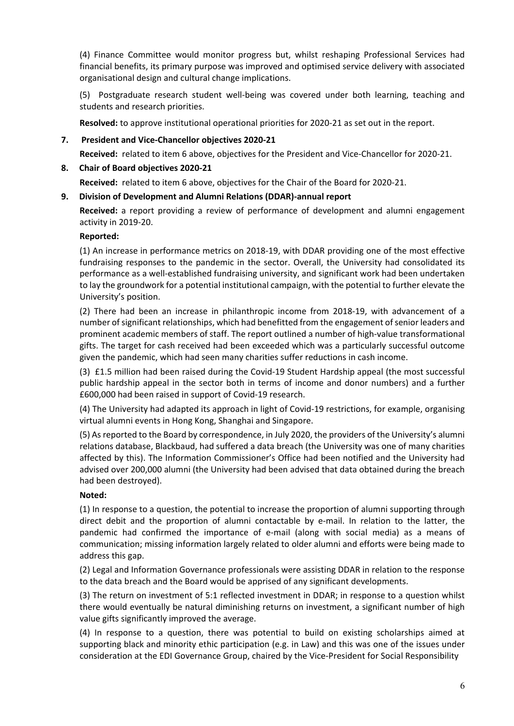(4) Finance Committee would monitor progress but, whilst reshaping Professional Services had financial benefits, its primary purpose was improved and optimised service delivery with associated organisational design and cultural change implications.

(5) Postgraduate research student well-being was covered under both learning, teaching and students and research priorities.

**Resolved:** to approve institutional operational priorities for 2020-21 as set out in the report.

## **7. President and Vice-Chancellor objectives 2020-21**

**Received:** related to item 6 above, objectives for the President and Vice-Chancellor for 2020-21.

## **8. Chair of Board objectives 2020-21**

**Received:** related to item 6 above, objectives for the Chair of the Board for 2020-21.

## **9. Division of Development and Alumni Relations (DDAR)-annual report**

**Received:** a report providing a review of performance of development and alumni engagement activity in 2019-20.

## **Reported:**

(1) An increase in performance metrics on 2018-19, with DDAR providing one of the most effective fundraising responses to the pandemic in the sector. Overall, the University had consolidated its performance as a well-established fundraising university, and significant work had been undertaken to lay the groundwork for a potential institutional campaign, with the potential to further elevate the University's position.

(2) There had been an increase in philanthropic income from 2018-19, with advancement of a number of significant relationships, which had benefitted from the engagement of senior leaders and prominent academic members of staff. The report outlined a number of high-value transformational gifts. The target for cash received had been exceeded which was a particularly successful outcome given the pandemic, which had seen many charities suffer reductions in cash income.

(3) £1.5 million had been raised during the Covid-19 Student Hardship appeal (the most successful public hardship appeal in the sector both in terms of income and donor numbers) and a further £600,000 had been raised in support of Covid-19 research.

(4) The University had adapted its approach in light of Covid-19 restrictions, for example, organising virtual alumni events in Hong Kong, Shanghai and Singapore.

(5) As reported to the Board by correspondence, in July 2020, the providers of the University's alumni relations database, Blackbaud, had suffered a data breach (the University was one of many charities affected by this). The Information Commissioner's Office had been notified and the University had advised over 200,000 alumni (the University had been advised that data obtained during the breach had been destroyed).

## **Noted:**

(1) In response to a question, the potential to increase the proportion of alumni supporting through direct debit and the proportion of alumni contactable by e-mail. In relation to the latter, the pandemic had confirmed the importance of e-mail (along with social media) as a means of communication; missing information largely related to older alumni and efforts were being made to address this gap.

(2) Legal and Information Governance professionals were assisting DDAR in relation to the response to the data breach and the Board would be apprised of any significant developments.

(3) The return on investment of 5:1 reflected investment in DDAR; in response to a question whilst there would eventually be natural diminishing returns on investment, a significant number of high value gifts significantly improved the average.

(4) In response to a question, there was potential to build on existing scholarships aimed at supporting black and minority ethic participation (e.g. in Law) and this was one of the issues under consideration at the EDI Governance Group, chaired by the Vice-President for Social Responsibility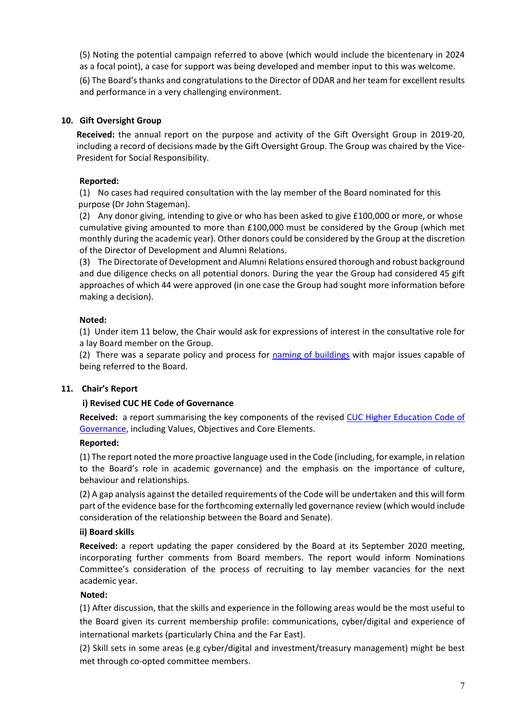(5) Noting the potential campaign referred to above (which would include the bicentenary in 2024 as a focal point), a case for support was being developed and member input to this was welcome.

(6) The Board's thanks and congratulations to the Director of DDAR and her team for excellent results and performance in a very challenging environment.

# **10. Gift Oversight Group**

**Received:** the annual report on the purpose and activity of the Gift Oversight Group in 2019-20, including a record of decisions made by the Gift Oversight Group. The Group was chaired by the Vice-President for Social Responsibility.

# **Reported:**

(1) No cases had required consultation with the lay member of the Board nominated for this purpose (Dr John Stageman).

(2) Any donor giving, intending to give or who has been asked to give £100,000 or more, or whose cumulative giving amounted to more than £100,000 must be considered by the Group (which met monthly during the academic year). Other donors could be considered by the Group at the discretion of the Director of Development and Alumni Relations.

(3) The Directorate of Development and Alumni Relations ensured thorough and robust background and due diligence checks on all potential donors. During the year the Group had considered 45 gift approaches of which 44 were approved (in one case the Group had sought more information before making a decision).

# **Noted:**

(1) Under item 11 below, the Chair would ask for expressions of interest in the consultative role for a lay Board member on the Group.

(2) There was a separate policy and process for naming of buildings with major issues capable of being referred to the Board.

## **11. Chair's Report**

## **i) Revised CUC HE Code of Governance**

**Received:** a report summarising the key components of the revised CUC Higher Education Code of Governance, including Values, Objectives and Core Elements.

## **Reported:**

(1) The report noted the more proactive language used in the Code (including, for example, in relation to the Board's role in academic governance) and the emphasis on the importance of culture, behaviour and relationships.

(2) A gap analysis against the detailed requirements of the Code will be undertaken and this will form part of the evidence base for the forthcoming externally led governance review (which would include consideration of the relationship between the Board and Senate).

## **ii) Board skills**

**Received:** a report updating the paper considered by the Board at its September 2020 meeting, incorporating further comments from Board members. The report would inform Nominations Committee's consideration of the process of recruiting to lay member vacancies for the next academic year.

## **Noted:**

(1) After discussion, that the skills and experience in the following areas would be the most useful to the Board given its current membership profile: communications, cyber/digital and experience of international markets (particularly China and the Far East).

(2) Skill sets in some areas (e.g cyber/digital and investment/treasury management) might be best met through co-opted committee members.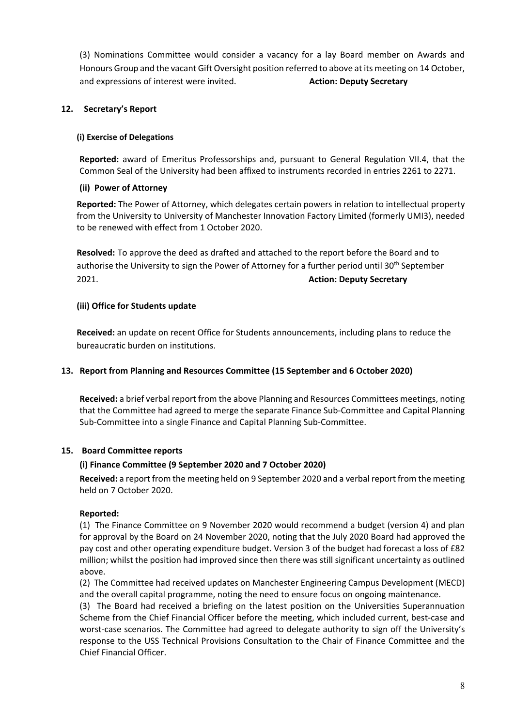(3) Nominations Committee would consider a vacancy for a lay Board member on Awards and Honours Group and the vacant Gift Oversight position referred to above at its meeting on 14 October, and expressions of interest were invited. **Action: Deputy Secretary**

## **12. Secretary's Report**

## **(i) Exercise of Delegations**

**Reported:** award of Emeritus Professorships and, pursuant to General Regulation VII.4, that the Common Seal of the University had been affixed to instruments recorded in entries 2261 to 2271.

## **(ii) Power of Attorney**

**Reported:** The Power of Attorney, which delegates certain powers in relation to intellectual property from the University to University of Manchester Innovation Factory Limited (formerly UMI3), needed to be renewed with effect from 1 October 2020.

**Resolved:** To approve the deed as drafted and attached to the report before the Board and to authorise the University to sign the Power of Attorney for a further period until 30<sup>th</sup> September 2021. **Action: Deputy Secretary**

## **(iii) Office for Students update**

**Received:** an update on recent Office for Students announcements, including plans to reduce the bureaucratic burden on institutions.

## **13. Report from Planning and Resources Committee (15 September and 6 October 2020)**

**Received:** a brief verbal report from the above Planning and Resources Committees meetings, noting that the Committee had agreed to merge the separate Finance Sub-Committee and Capital Planning Sub-Committee into a single Finance and Capital Planning Sub-Committee.

#### **15. Board Committee reports**

## **(i) Finance Committee (9 September 2020 and 7 October 2020)**

**Received:** a report from the meeting held on 9 September 2020 and a verbal report from the meeting held on 7 October 2020.

## **Reported:**

(1) The Finance Committee on 9 November 2020 would recommend a budget (version 4) and plan for approval by the Board on 24 November 2020, noting that the July 2020 Board had approved the pay cost and other operating expenditure budget. Version 3 of the budget had forecast a loss of £82 million; whilst the position had improved since then there was still significant uncertainty as outlined above.

(2) The Committee had received updates on Manchester Engineering Campus Development (MECD) and the overall capital programme, noting the need to ensure focus on ongoing maintenance.

(3) The Board had received a briefing on the latest position on the Universities Superannuation Scheme from the Chief Financial Officer before the meeting, which included current, best-case and worst-case scenarios. The Committee had agreed to delegate authority to sign off the University's response to the USS Technical Provisions Consultation to the Chair of Finance Committee and the Chief Financial Officer.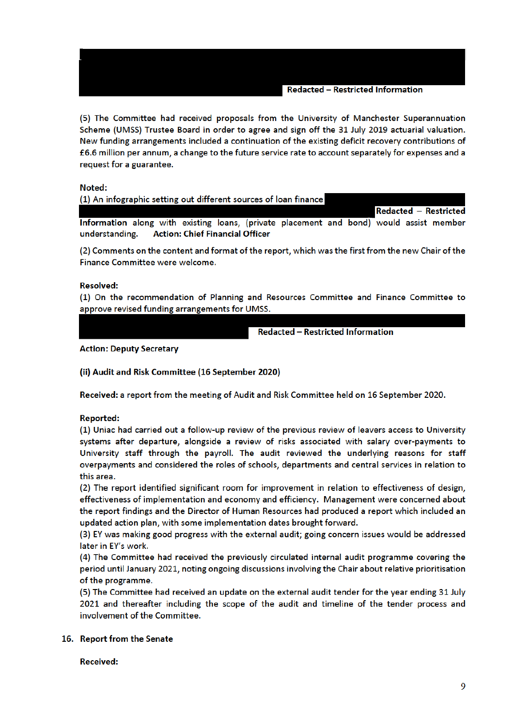(5) The Committee had received proposals from the University of Manchester Superannuation Scheme (UMSS) Trustee Board in order to agree and sign off the 31 July 2019 actuarial valuation. New funding arrangements included a continuation of the existing deficit recovery contributions of £6.6 million per annum, a change to the future service rate to account separately for expenses and a request for a guarantee.

Noted:

| (1) An infographic setting out different sources of loan finance                        |  |  |  |  |  |                       |
|-----------------------------------------------------------------------------------------|--|--|--|--|--|-----------------------|
|                                                                                         |  |  |  |  |  | Redacted - Restricted |
| Information along with existing loans, (private placement and bond) would assist member |  |  |  |  |  |                       |
| understanding. Action: Chief Financial Officer                                          |  |  |  |  |  |                       |

(2) Comments on the content and format of the report, which was the first from the new Chair of the Finance Committee were welcome.

#### **Resolved:**

(1) On the recommendation of Planning and Resources Committee and Finance Committee to approve revised funding arrangements for UMSS.

**Redacted - Restricted Information** 

**Action: Deputy Secretary** 

(ii) Audit and Risk Committee (16 September 2020)

Received: a report from the meeting of Audit and Risk Committee held on 16 September 2020.

#### **Reported:**

(1) Uniac had carried out a follow-up review of the previous review of leavers access to University systems after departure, alongside a review of risks associated with salary over-payments to University staff through the payroll. The audit reviewed the underlying reasons for staff overpayments and considered the roles of schools, departments and central services in relation to this area.

(2) The report identified significant room for improvement in relation to effectiveness of design, effectiveness of implementation and economy and efficiency. Management were concerned about the report findings and the Director of Human Resources had produced a report which included an updated action plan, with some implementation dates brought forward.

(3) EY was making good progress with the external audit; going concern issues would be addressed later in EY's work.

(4) The Committee had received the previously circulated internal audit programme covering the period until January 2021, noting ongoing discussions involving the Chair about relative prioritisation of the programme.

(5) The Committee had received an update on the external audit tender for the year ending 31 July 2021 and thereafter including the scope of the audit and timeline of the tender process and involvement of the Committee.

#### 16. Report from the Senate

**Received:**